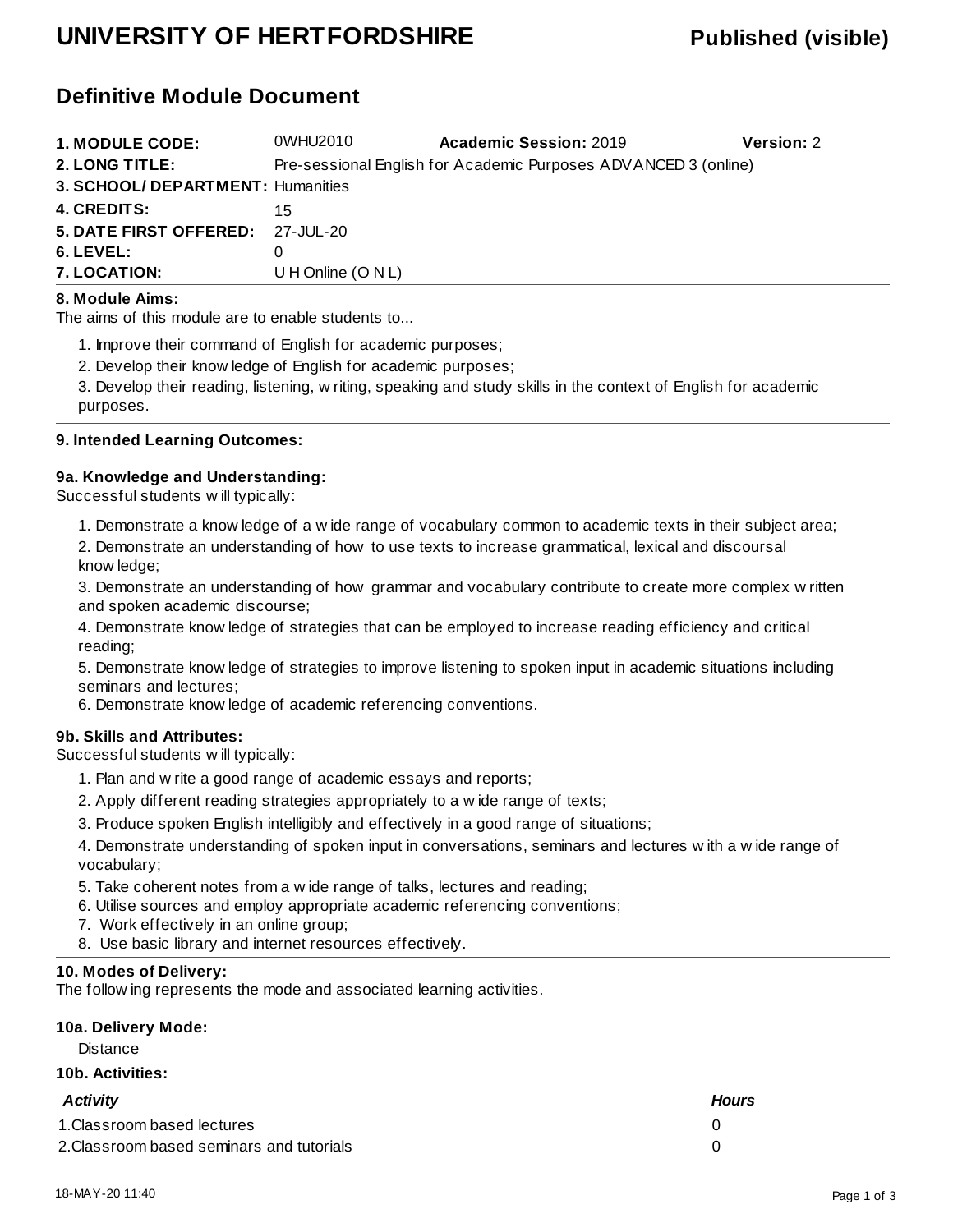## **UNIVERSITY OF HERTFORDSHIRE Published (visible)**

## **Definitive Module Document**

| <b>1. MODULE CODE:</b>            | 0WHU2010             | <b>Academic Session: 2019</b>                                   | <b>Version: 2</b> |
|-----------------------------------|----------------------|-----------------------------------------------------------------|-------------------|
| 2. LONG TITLE:                    |                      | Pre-sessional English for Academic Purposes ADVANCED 3 (online) |                   |
| 3. SCHOOL/ DEPARTMENT: Humanities |                      |                                                                 |                   |
| <b>4. CREDITS:</b>                | 15                   |                                                                 |                   |
| 5. DATE FIRST OFFERED: 27-JUL-20  |                      |                                                                 |                   |
| 6. LEVEL:                         |                      |                                                                 |                   |
| 7. LOCATION:                      | U H Online $(O N L)$ |                                                                 |                   |

#### **8. Module Aims:**

The aims of this module are to enable students to...

1. Improve their command of English for academic purposes;

2. Develop their knowledge of English for academic purposes;

3. Develop their reading, listening, writing, speaking and study skills in the context of English for academic purposes.

#### **9. Intended Learning Outcomes:**

#### **9a. Knowledge and Understanding:**

Successful students will typically:

1. Demonstrate a knowledge of a wide range of vocabulary common to academic texts in their subject area;

2. Demonstrate an understanding of how to use texts to increase grammatical, lexical and discoursal knowledge;

3. Demonstrate an understanding of how grammar and vocabulary contribute to create more complex written and spoken academic discourse;

4. Demonstrate knowledge of strategies that can be employed to increase reading efficiency and critical reading;

5. Demonstrate knowledge of strategies to improve listening to spoken input in academic situations including seminars and lectures;

6. Demonstrate knowledge of academic referencing conventions.

#### **9b. Skills and Attributes:**

Successful students will typically:

- 1. Plan and write a good range of academic essays and reports;
- 2. Apply different reading strategies appropriately to a wide range of texts;
- 3. Produce spoken English intelligibly and effectively in a good range of situations;

4. Demonstrate understanding of spoken input in conversations, seminars and lectures with a wide range of vocabulary;

- 5. Take coherent notes from a wide range of talks, lectures and reading;
- 6. Utilise sources and employ appropriate academic referencing conventions;
- 7. Work effectively in an online group;
- 8. Use basic library and internet resources effectively.

#### **10. Modes of Delivery:**

The following represents the mode and associated learning activities.

### **10a. Delivery Mode:**

**Distance** 

#### **10b. Activities:**

| <b>Activity</b>                           | <b>Hours</b> |
|-------------------------------------------|--------------|
| 1. Classroom based lectures               |              |
| 2. Classroom based seminars and tutorials |              |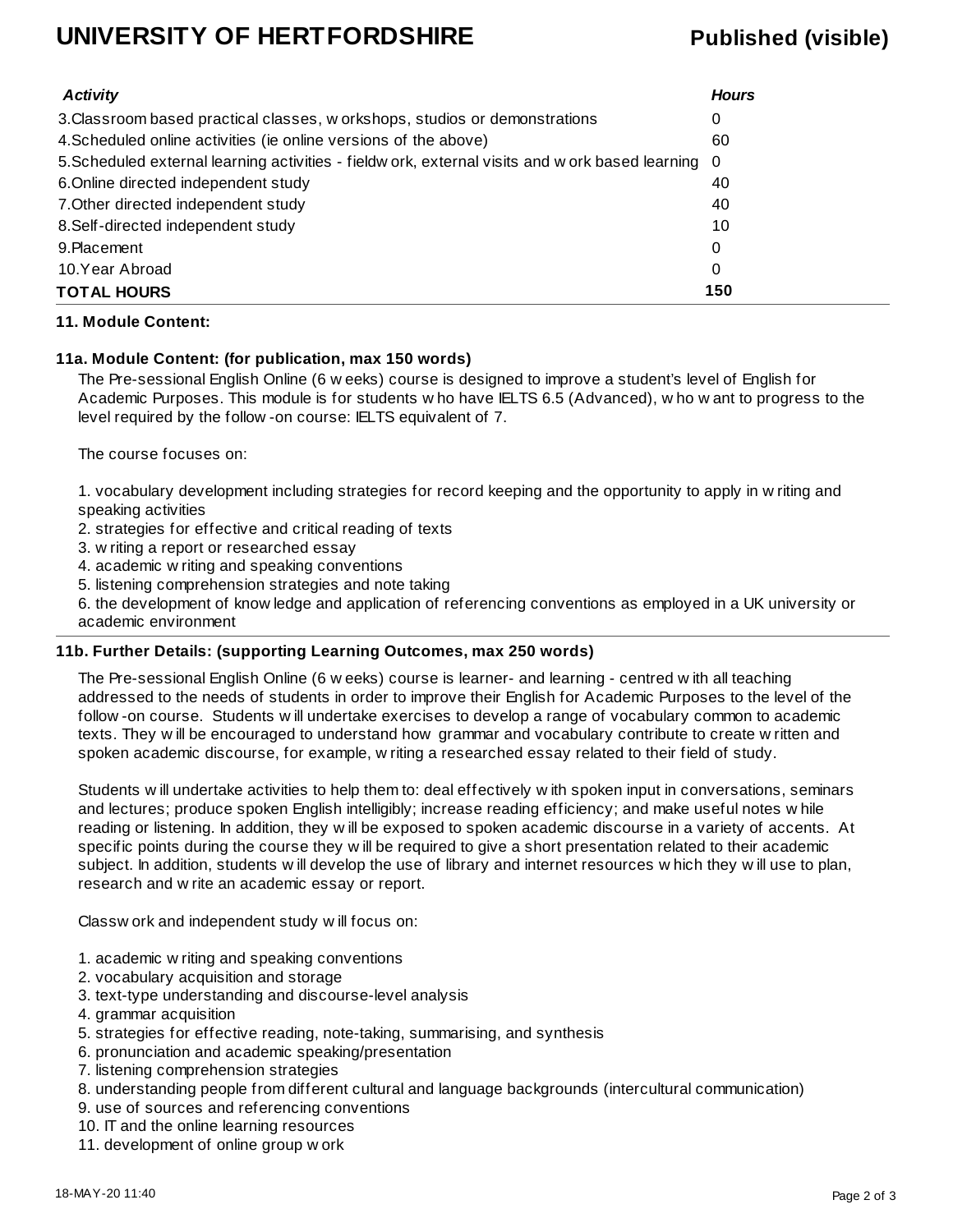## **UNIVERSITY OF HERTFORDSHIRE Published (visible)**

| <b>Activity</b>                                                                                    | <b>Hours</b> |
|----------------------------------------------------------------------------------------------------|--------------|
| 3. Classroom based practical classes, w orkshops, studios or demonstrations                        | 0            |
| 4. Scheduled online activities (ie online versions of the above)                                   | 60           |
| 5. Scheduled external learning activities - fieldw ork, external visits and w ork based learning 0 |              |
| 6. Online directed independent study                                                               | 40           |
| 7. Other directed independent study                                                                | 40           |
| 8. Self-directed independent study                                                                 | 10           |
| 9. Placement                                                                                       | 0            |
| 10.Year Abroad                                                                                     | 0            |
| <b>TOTAL HOURS</b>                                                                                 | 150          |

#### **11. Module Content:**

#### **11a. Module Content: (for publication, max 150 words)**

The Pre-sessional English Online (6 weeks) course is designed to improve a student's level of English for Academic Purposes. This module is for students who have IELTS 6.5 (Advanced), who want to progress to the level required by the follow-on course: IELTS equivalent of 7.

The course focuses on:

1. vocabulary development including strategies for record keeping and the opportunity to apply in writing and speaking activities

2. strategies for effective and critical reading of texts

3. writing a report or researched essay

4. academic writing and speaking conventions

5. listening comprehension strategies and note taking

6. the development of knowledge and application of referencing conventions as employed in a UK university or academic environment

#### **11b. Further Details: (supporting Learning Outcomes, max 250 words)**

The Pre-sessional English Online (6 weeks) course is learner- and learning - centred with all teaching addressed to the needs of students in order to improve their English for Academic Purposes to the level of the follow-on course. Students will undertake exercises to develop a range of vocabulary common to academic texts. They will be encouraged to understand how grammar and vocabulary contribute to create written and spoken academic discourse, for example, writing a researched essay related to their field of study.

Students will undertake activities to help them to: deal effectively with spoken input in conversations, seminars and lectures; produce spoken English intelligibly; increase reading efficiency; and make useful notes while reading or listening. In addition, they will be exposed to spoken academic discourse in a variety of accents. At specific points during the course they will be required to give a short presentation related to their academic subject. In addition, students will develop the use of library and internet resources which they will use to plan, research and write an academic essay or report.

Classwork and independent study will focus on:

- 1. academic writing and speaking conventions
- 2. vocabulary acquisition and storage
- 3. text-type understanding and discourse-level analysis
- 4. grammar acquisition
- 5. strategies for effective reading, note-taking, summarising, and synthesis
- 6. pronunciation and academic speaking/presentation
- 7. listening comprehension strategies
- 8. understanding people from different cultural and language backgrounds (intercultural communication)
- 9. use of sources and referencing conventions
- 10. IT and the online learning resources
- 11. development of online group work